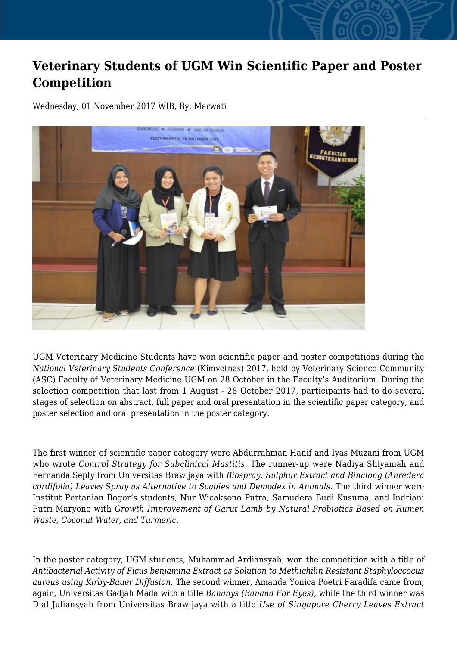## **Veterinary Students of UGM Win Scientific Paper and Poster Competition**

Wednesday, 01 November 2017 WIB, By: Marwati



UGM Veterinary Medicine Students have won scientific paper and poster competitions during the *National Veterinary Students Conference* (Kimvetnas) 2017, held by Veterinary Science Community (ASC) Faculty of Veterinary Medicine UGM on 28 October in the Faculty's Auditorium. During the selection competition that last from 1 August - 28 October 2017, participants had to do several stages of selection on abstract, full paper and oral presentation in the scientific paper category, and poster selection and oral presentation in the poster category.

The first winner of scientific paper category were Abdurrahman Hanif and Iyas Muzani from UGM who wrote *Control Strategy for Subclinical Mastitis*. The runner-up were Nadiya Shiyamah and Fernanda Septy from Universitas Brawijaya with *Biospray: Sulphur Extract and Binalong (Anredera cordifolia) Leaves Spray as Alternative to Scabies and Demodex in Animals*. The third winner were Institut Pertanian Bogor's students, Nur Wicaksono Putra, Samudera Budi Kusuma, and Indriani Putri Maryono with *Growth Improvement of Garut Lamb by Natural Probiotics Based on Rumen Waste, Coconut Water, and Turmeric.*

In the poster category, UGM students, Muhammad Ardiansyah, won the competition with a title of *Antibacterial Activity of Ficus benjamina Extract as Solution to Methichilin Resistant Staphyloccocus aureus using Kirby-Bauer Diffusion*. The second winner, Amanda Yonica Poetri Faradifa came from, again, Universitas Gadjah Mada with a title *Bananys (Banana For Eyes)*, while the third winner was Dial Juliansyah from Universitas Brawijaya with a title *Use of Singapore Cherry Leaves Extract*